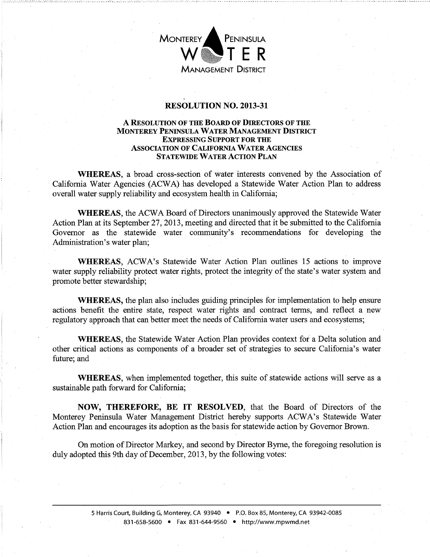

## RESOLUTION NO. 2013-31

## A RESOLUTION OF THE BOARD OF DIRECTORS OF THE MONTEREY PENINSULA WATER MANAGEMENT DISTRICT EXPRESSING SUPPORT FOR THE ASSOCIATION OF CALIFORNIA WATER AGENCIES STATEWIDE WATER ACTION PLAN

WHEREAS, a broad cross-section of water interests convened by the Association of California Water Agencies (ACW A) has developed a Statewide Water Action Plan to address overall water supply reliability and ecosystem health in California;

WHEREAS, the ACWA Board of Directors unanimously approved the Statewide Water Action Plan at its September 27,2013, meeting and directed that it be submitted to the California Governor as the statewide water community's recommendations for developing the Administration's water plan;

WHEREAS, ACWA's Statewide Water Action Plan outlines 15 actions to improve water supply reliability protect water rights, protect the integrity of the state's water system and promote better stewardship;

WHEREAS, the plan also includes guiding principles for implementation to help ensure actions benefit the entire state, respect water rights and contract terms, and reflect a new regulatory approach that can better meet the needs of California water users and ecosystems;

WHEREAS, the Statewide Water Action Plan provides context for a Delta solution and other critical actions as components of a broader set of strategies to secure California's water future; and

WHEREAS, when implemented together, this suite of statewide actions will serve as a sustainable path forward for California;

NOW, THEREFORE, BE **IT** RESOLVED, that the Board of Directors of the Monterey Peninsula Water Management District hereby supports ACWA's Statewide Water Action Plan and encourages its adoption as the basis for statewide action by Governor Brown.

On motion of Director Markey, and second by Director Byrne, the foregoing resolution is duly adopted this 9th day of December, 2013, by the following votes: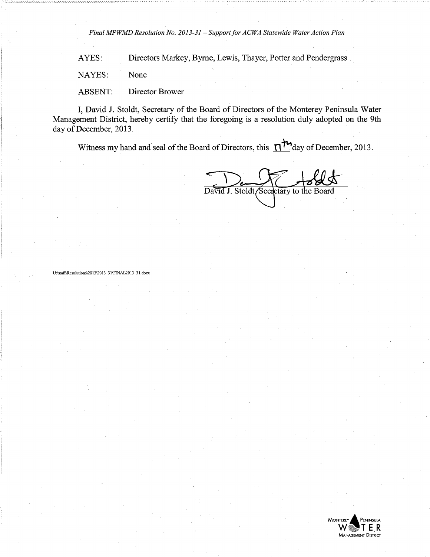*· Final MPWMD Resolution No. 2013-31* - *Support for ACWA Statewide Water Action Plan* 

AYES: Directors Markey, Byrne, Lewis, Thayer, Potter and Pendergrass

NAYES: None

ABSENT: Director Brower

I, David J. Stoldt, Secretary of the Board of Directors of the Monterey Peninsula Water Management District, hereby certify that the foregoing is a resolution duly adopted on the 9th day of December, 2013.

Witness my hand and seal of the Board of Directors, this  $n^{\text{th}}$ day of December, 2013.

David J. Stoldt, Secretary to the Board

U:\staff\Resolutions\2013\2013\_31\FINAL2013\_31.docx